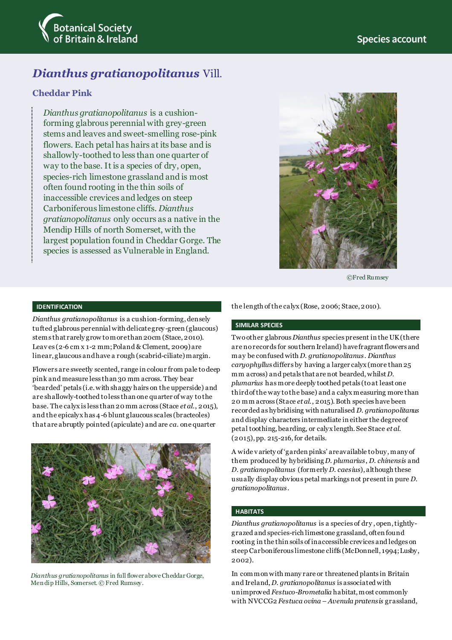

# *Dianthus gratianopolitanus* Vill.

## **Cheddar Pink**

*Dianthus gratianopolitanus* is a cushionforming glabrous perennial with grey-green stems and leaves and sweet-smelling rose-pink flowers. Each petal has hairs at its base and is shallowly-toothed to less than one quarter of way to the base. It is a species of dry, open, species-rich limestone grassland and is most often found rooting in the thin soils of inaccessible crevices and ledges on steep Carboniferous limestone cliffs. *Dianthus gratianopolitanus* only occurs as a native in the Mendip Hills of north Somerset, with the largest population found in Cheddar Gorge. The species is assessed as Vulnerable in England.



©Fred Rumsey

### **IDENTIFICATION**

*Dianthus gratianopolitanus* is a cushion-forming, densely tufted glabrous perennialwith delicate grey-green (glaucous) stems that rarely grow to more than 20cm (Stace, 2010). Leav es (2-6 cm x 1-2 mm; Poland & Clement, 2009) are linear, glaucous and have a rough (scabrid-ciliate) margin.

Flowers are sweetly scented, range in colour from pale to deep pink and measure less than 30 mm across. They bear 'bearded' petals (i.e. with shaggy hairs on the upperside) and are shallowly-toothed to less than one quarter of way to the base. The calyx is less than 20 mm across (Stace *et al*., 2015), and the epicalyx has 4-6 blunt glaucous scales (bracteoles) that are abruptly pointed (apiculate) and are *ca*. one quarter



*Dianthus gratianopolitanus* in full flower above Cheddar Gorge, Men dip Hills, Somerset. © Fred Rumsey.

the length of the calyx (Rose, 2006; Stace, 2010).

#### **SIMILAR SPECIES**

Two other glabrous *Dianthus* species present in the UK (there are no records for southern Ireland) have fragrant flowers and may be confused with *D. gratianopolitanus*. *Dianthus caryophyllu*s differs by having a larger calyx (more than 25 mm across) and petals that are not bearded, whilst *D. plumarius* has more deeply toothed petals (to at least one third of the way to the base) and a calyx measuring more than 20 mm across (Stace *et al*., 2015). Both species have been recorded as hybridising with naturalised *D. gratianopolitanus* and display characters intermediate in either the degree of petal toothing, bearding, or calyx length. See Stace *et al*. (2015), pp. 215-216, for details.

A wide v ariety of 'garden pinks' are available to buy, many of them produced by hybridising *D. plumarius*, *D. chinensis* and *D*. *gratianopolitanus* (formerly *D. caesius*), although these usually display obvious petal markings not present in pure *D. gratianopolitanus*.

#### **HABITATS**

*Dianthus gratianopolitanus* is a species of dry , open, tightlygrazed and species-rich limestone grassland, often found rooting in the thin soils of inaccessible crevices and ledges on steep Carboniferous limestone cliffs (McDonnell, 1994; Lusby, 2002).

In common with many rare or threatened plants in Britain and Ireland, *D. gratianopolitanus* is associated with unimproved *Festuco-Brometalia* habitat, most commonly with NVCCG2 *Festuca ovina – Avenula pratensis* grassland,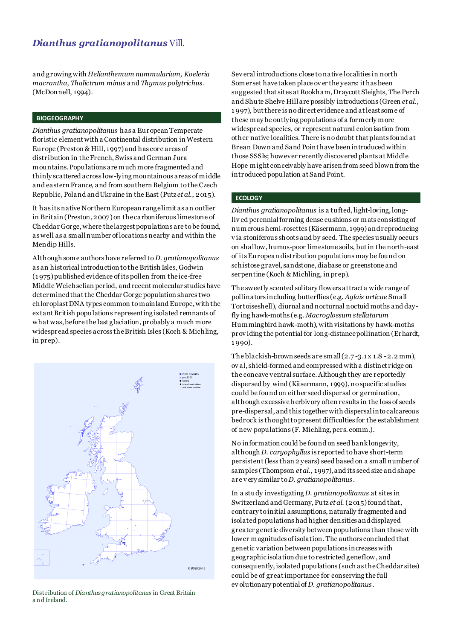# *Dianthus gratianopolitanus* Vill.

and growing with *Helianthemum nummularium, Koeleria macrantha, Thalictrum minus* and *Thymus polytrichus*. (McDonnell, 1994).

#### **BIOGEOGRAPHY**

*Dianthus gratianopolitanus* has a European Temperate floristic element with a Continental distribution in Western Europe (Preston & Hill, 1997) and has core areas of distribution in the French, Swiss and German Jura mountains. Populations are much more fragmented and thinly scattered across low-lying mountainous areas of middle and eastern France, and from southern Belgium to the Czech Republic, Poland and Ukraine in the East (Putz *et al*., 2015).

It has its native Northern European range limit as an outlier in Britain (Preston, 2007) on the carboniferous limestone of Cheddar Gorge, where the largest populations are to be found, as well as a small number of locations nearby and within the Mendip Hills.

Although some authors have referred to *D. gratianopolitanus* as an historical introduction to the British Isles, Godwin (1 975) published evidence of its pollen from the ice-free Middle Weichselian period, and recent molecular studies have determined that the Cheddar Gorge population shares two chloroplast DNA types common to mainland Europe, with the extant British populations representing isolated remnants of what was, before the last glaciation, probably a much more widespread species across the British Isles (Koch & Michling, in prep).



Distribution of *Dianthus gratianopolitanus* in Great Britain a n d Ireland.

Sev eral introductions close to native localities in north Somerset have taken place ov er the years: it has been suggested that sites at Rookham, Draycott Sleights, The Perch and Shute Shelve Hill are possibly introductions (Green *et al*., 1 997), but there is no direct evidence and at least some of these may be outlying populations of a formerly more widespread species, or represent natural colonisation from other native localities. There is no doubt that plants found at Brean Down and Sand Point have been introduced within those SSSIs; however recently discovered plants at Middle Hope might conceivably have arisen from seed blown from the introduced population at Sand Point.

#### **ECOLOGY**

*Dianthus gratianopolitanus* is a tufted, light-loving, longliv ed perennialforming dense cushions or mats consisting of numerous hemi-rosettes (Käsermann, 1999) and reproducing v ia stoniferous shoots and by seed. The species usually occurs on shallow, humus-poor limestone soils, but in the north-east of its European distribution populations may be found on schistose gravel, sandstone, diabase or greenstone and serpentine (Koch & Michling, in prep).

The sweetly scented solitary flowers attract a wide range of pollinators including butterflies (e.g. *Aglais urticae* Small Tortoiseshell), diurnal and nocturnal noctuid moths and dayfly ing hawk-moths (e.g. *Macroglossum stellatarum* Hummingbird hawk-moth), with visitations by hawk-moths prov iding the potential for long-distance pollination (Erhardt, 1 990).

The blackish-brown seeds are small (2.7 -3.1 x 1.8 -2.2 mm), ov al, shield-formed and compressed with a distinct ridge on the concave ventral surface. Although they are reportedly dispersed by wind (Käsermann, 1999), no specific studies could be found on either seed dispersal or germination, although excessive herbivory often results in the loss of seeds pre-dispersal, and this together with dispersal into calcareous bedrock is thought to present difficulties for the establishment of new populations (F. Michling, pers. comm.).

No information could be found on seed bank longevity, although *D. caryophyllus* is reported to have short-term persistent (less than 2 years) seed based on a small number of samples (Thompson *et al*., 1997), and its seed size and shape are v ery similar to *D. gratianopolitanus*.

In a study investigating *D. gratianopolitanus* at sites in Switzerland and Germany, Putz et al. (2015) found that, contrary to initial assumptions, naturally fragmented and isolated populations had higher densities and displayed greater genetic diversity between populations than those with lower magnitudes of isolation. The authors concluded that genetic variation between populations increases with geographic isolation due to restricted gene flow , and consequently, isolated populations (such as the Cheddar sites) could be of great importance for conserving the full ev olutionary potential of *D. gratianopolitanus*.